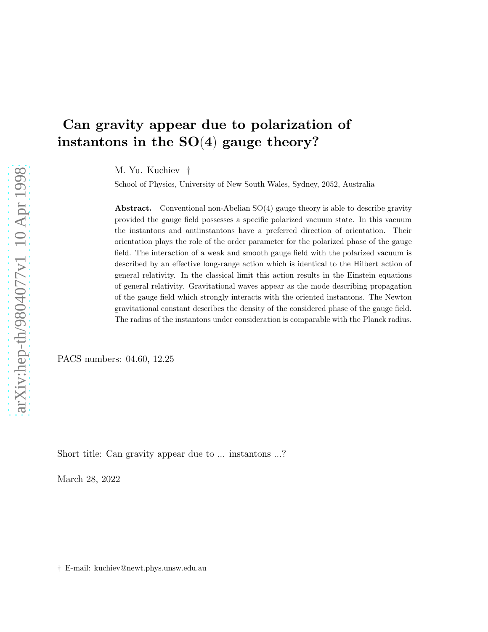# Can gravity appear due to polarization of instantons in the  $SO(4)$  gauge theory?

M. Yu. Kuchiev †

School of Physics, University of New South Wales, Sydney, 2052, Australia

**Abstract.** Conventional non-Abelian  $SO(4)$  gauge theory is able to describe gravity provided the gauge field possesses a specific polarized vacuum state. In this vacuum the instantons and antiinstantons have a preferred direction of orientation. Their orientation plays the role of the order parameter for the polarized phase of the gauge field. The interaction of a weak and smooth gauge field with the polarized vacuum is described by an effective long-range action which is identical to the Hilbert action of general relativity. In the classical limit this action results in the Einstein equations of general relativity. Gravitational waves appear as the mode describing propagation of the gauge field which strongly interacts with the oriented instantons. The Newton gravitational constant describes the density of the considered phase of the gauge field. The radius of the instantons under consideration is comparable with the Planck radius.

PACS numbers: 04.60, 12.25

Short title: Can gravity appear due to ... instantons ...?

March 28, 2022

† E-mail: kuchiev@newt.phys.unsw.edu.au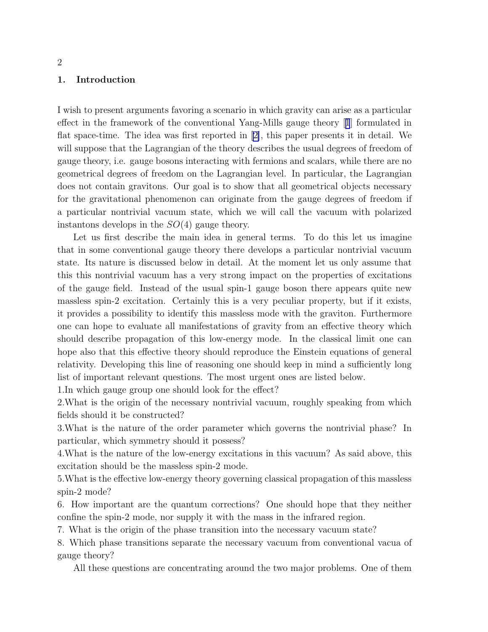#### 1. Introduction

I wish to present arguments favoring a scenario in which gravity can arise as a particular effect in the framework of the conventional Yang-Mills gauge theory[[1](#page-25-0)] formulated in flat space-time. The idea was first reported in[[2\]](#page-25-0), this paper presents it in detail. We will suppose that the Lagrangian of the theory describes the usual degrees of freedom of gauge theory, i.e. gauge bosons interacting with fermions and scalars, while there are no geometrical degrees of freedom on the Lagrangian level. In particular, the Lagrangian does not contain gravitons. Our goal is to show that all geometrical objects necessary for the gravitational phenomenon can originate from the gauge degrees of freedom if a particular nontrivial vacuum state, which we will call the vacuum with polarized instantons develops in the  $SO(4)$  gauge theory.

Let us first describe the main idea in general terms. To do this let us imagine that in some conventional gauge theory there develops a particular nontrivial vacuum state. Its nature is discussed below in detail. At the moment let us only assume that this this nontrivial vacuum has a very strong impact on the properties of excitations of the gauge field. Instead of the usual spin-1 gauge boson there appears quite new massless spin-2 excitation. Certainly this is a very peculiar property, but if it exists, it provides a possibility to identify this massless mode with the graviton. Furthermore one can hope to evaluate all manifestations of gravity from an effective theory which should describe propagation of this low-energy mode. In the classical limit one can hope also that this effective theory should reproduce the Einstein equations of general relativity. Developing this line of reasoning one should keep in mind a sufficiently long list of important relevant questions. The most urgent ones are listed below.

1.In which gauge group one should look for the effect?

2.What is the origin of the necessary nontrivial vacuum, roughly speaking from which fields should it be constructed?

3.What is the nature of the order parameter which governs the nontrivial phase? In particular, which symmetry should it possess?

4.What is the nature of the low-energy excitations in this vacuum? As said above, this excitation should be the massless spin-2 mode.

5.What is the effective low-energy theory governing classical propagation of this massless spin-2 mode?

6. How important are the quantum corrections? One should hope that they neither confine the spin-2 mode, nor supply it with the mass in the infrared region.

7. What is the origin of the phase transition into the necessary vacuum state?

8. Which phase transitions separate the necessary vacuum from conventional vacua of gauge theory?

All these questions are concentrating around the two major problems. One of them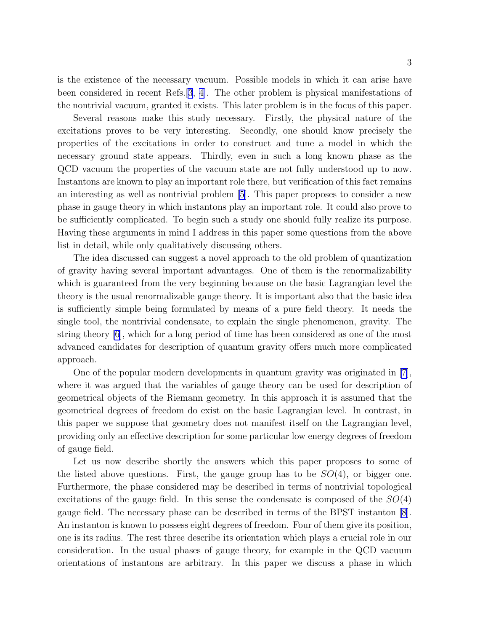is the existence of the necessary vacuum. Possible models in which it can arise have been considered in recent Refs.[\[3](#page-25-0), [4\]](#page-25-0). The other problem is physical manifestations of the nontrivial vacuum, granted it exists. This later problem is in the focus of this paper.

Several reasons make this study necessary. Firstly, the physical nature of the excitations proves to be very interesting. Secondly, one should know precisely the properties of the excitations in order to construct and tune a model in which the necessary ground state appears. Thirdly, even in such a long known phase as the QCD vacuum the properties of the vacuum state are not fully understood up to now. Instantons are known to play an important role there, but verification of this fact remains an interesting as well as nontrivial problem [\[5\]](#page-25-0). This paper proposes to consider a new phase in gauge theory in which instantons play an important role. It could also prove to be sufficiently complicated. To begin such a study one should fully realize its purpose. Having these arguments in mind I address in this paper some questions from the above list in detail, while only qualitatively discussing others.

The idea discussed can suggest a novel approach to the old problem of quantization of gravity having several important advantages. One of them is the renormalizability which is guaranteed from the very beginning because on the basic Lagrangian level the theory is the usual renormalizable gauge theory. It is important also that the basic idea is sufficiently simple being formulated by means of a pure field theory. It needs the single tool, the nontrivial condensate, to explain the single phenomenon, gravity. The string theory [\[6](#page-25-0)], which for a long period of time has been considered as one of the most advanced candidates for description of quantum gravity offers much more complicated approach.

One of the popular modern developments in quantum gravity was originated in [\[7](#page-25-0)], where it was argued that the variables of gauge theory can be used for description of geometrical objects of the Riemann geometry. In this approach it is assumed that the geometrical degrees of freedom do exist on the basic Lagrangian level. In contrast, in this paper we suppose that geometry does not manifest itself on the Lagrangian level, providing only an effective description for some particular low energy degrees of freedom of gauge field.

Let us now describe shortly the answers which this paper proposes to some of the listed above questions. First, the gauge group has to be  $SO(4)$ , or bigger one. Furthermore, the phase considered may be described in terms of nontrivial topological excitations of the gauge field. In this sense the condensate is composed of the  $SO(4)$ gauge field. The necessary phase can be described in terms of the BPST instanton [\[8](#page-25-0)]. An instanton is known to possess eight degrees of freedom. Four of them give its position, one is its radius. The rest three describe its orientation which plays a crucial role in our consideration. In the usual phases of gauge theory, for example in the QCD vacuum orientations of instantons are arbitrary. In this paper we discuss a phase in which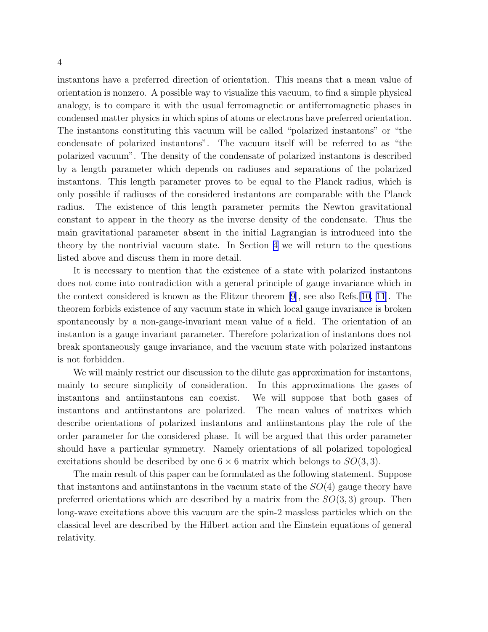instantons have a preferred direction of orientation. This means that a mean value of orientation is nonzero. A possible way to visualize this vacuum, to find a simple physical analogy, is to compare it with the usual ferromagnetic or antiferromagnetic phases in condensed matter physics in which spins of atoms or electrons have preferred orientation. The instantons constituting this vacuum will be called "polarized instantons" or "the condensate of polarized instantons". The vacuum itself will be referred to as "the polarized vacuum". The density of the condensate of polarized instantons is described by a length parameter which depends on radiuses and separations of the polarized instantons. This length parameter proves to be equal to the Planck radius, which is only possible if radiuses of the considered instantons are comparable with the Planck radius. The existence of this length parameter permits the Newton gravitational constant to appear in the theory as the inverse density of the condensate. Thus the main gravitational parameter absent in the initial Lagrangian is introduced into the theory by the nontrivial vacuum state. In Section [4](#page-14-0) we will return to the questions listed above and discuss them in more detail.

It is necessary to mention that the existence of a state with polarized instantons does not come into contradiction with a general principle of gauge invariance which in the context considered is known as the Elitzur theorem [\[9\]](#page-25-0), see also Refs.[\[10, 11\]](#page-25-0). The theorem forbids existence of any vacuum state in which local gauge invariance is broken spontaneously by a non-gauge-invariant mean value of a field. The orientation of an instanton is a gauge invariant parameter. Therefore polarization of instantons does not break spontaneously gauge invariance, and the vacuum state with polarized instantons is not forbidden.

We will mainly restrict our discussion to the dilute gas approximation for instantons, mainly to secure simplicity of consideration. In this approximations the gases of instantons and antiinstantons can coexist. We will suppose that both gases of instantons and antiinstantons are polarized. The mean values of matrixes which describe orientations of polarized instantons and antiinstantons play the role of the order parameter for the considered phase. It will be argued that this order parameter should have a particular symmetry. Namely orientations of all polarized topological excitations should be described by one  $6 \times 6$  matrix which belongs to  $SO(3,3)$ .

The main result of this paper can be formulated as the following statement. Suppose that instantons and antiinstantons in the vacuum state of the  $SO(4)$  gauge theory have preferred orientations which are described by a matrix from the  $SO(3,3)$  group. Then long-wave excitations above this vacuum are the spin-2 massless particles which on the classical level are described by the Hilbert action and the Einstein equations of general relativity.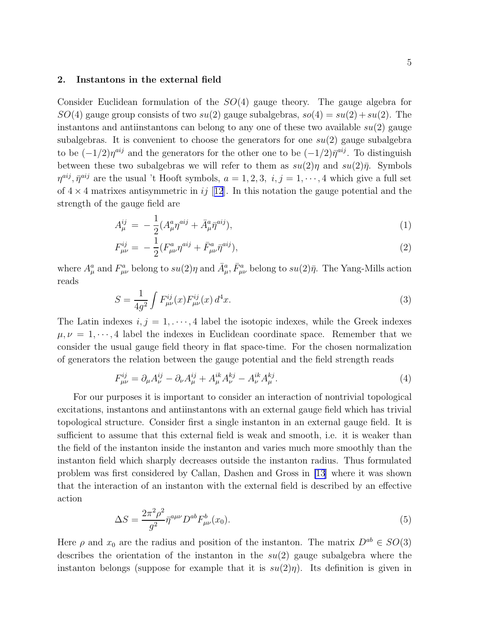#### <span id="page-4-0"></span>2. Instantons in the external field

Consider Euclidean formulation of the  $SO(4)$  gauge theory. The gauge algebra for  $SO(4)$  gauge group consists of two  $su(2)$  gauge subalgebras,  $so(4) = su(2) + su(2)$ . The instantons and antiinstantons can belong to any one of these two available  $su(2)$  gauge subalgebras. It is convenient to choose the generators for one  $su(2)$  gauge subalgebra to be  $(-1/2)\eta^{aij}$  and the generators for the other one to be  $(-1/2)\bar{\eta}^{aij}$ . To distinguish between these two subalgebras we will refer to them as  $su(2)\eta$  and  $su(2)\bar{\eta}$ . Symbols  $\eta^{aij}, \bar{\eta}^{aij}$  are the usual 't Hooft symbols,  $a = 1, 2, 3, i, j = 1, \dots, 4$  which give a full set of  $4 \times 4$  matrixes antisymmetric in ij [[12](#page-25-0)]. In this notation the gauge potential and the strength of the gauge field are

$$
A_{\mu}^{ij} = -\frac{1}{2} (A_{\mu}^{a} \eta^{aij} + \bar{A}_{\mu}^{a} \bar{\eta}^{aij}), \tag{1}
$$

$$
F_{\mu\nu}^{ij} = -\frac{1}{2} (F_{\mu\nu}^a \eta^{aij} + \bar{F}_{\mu\nu}^a \bar{\eta}^{aij}), \tag{2}
$$

where  $A^a_\mu$  and  $F^a_{\mu\nu}$  belong to  $su(2)\eta$  and  $\bar{A}^a_\mu$ ,  $\bar{F}^a_{\mu\nu}$  belong to  $su(2)\bar{\eta}$ . The Yang-Mills action reads

$$
S = \frac{1}{4g^2} \int F_{\mu\nu}^{ij}(x) F_{\mu\nu}^{ij}(x) d^4 x.
$$
 (3)

The Latin indexes  $i, j = 1, \dots, 4$  label the isotopic indexes, while the Greek indexes  $\mu, \nu = 1, \dots, 4$  label the indexes in Euclidean coordinate space. Remember that we consider the usual gauge field theory in flat space-time. For the chosen normalization of generators the relation between the gauge potential and the field strength reads

$$
F_{\mu\nu}^{ij} = \partial_{\mu}A_{\nu}^{ij} - \partial_{\nu}A_{\mu}^{ij} + A_{\mu}^{ik}A_{\nu}^{kj} - A_{\nu}^{ik}A_{\mu}^{kj}.
$$
\n(4)

For our purposes it is important to consider an interaction of nontrivial topological excitations, instantons and antiinstantons with an external gauge field which has trivial topological structure. Consider first a single instanton in an external gauge field. It is sufficient to assume that this external field is weak and smooth, i.e. it is weaker than the field of the instanton inside the instanton and varies much more smoothly than the instanton field which sharply decreases outside the instanton radius. Thus formulated problem was first considered by Callan, Dashen and Gross in [\[13](#page-25-0)] where it was shown that the interaction of an instanton with the external field is described by an effective action

$$
\Delta S = \frac{2\pi^2 \rho^2}{g^2} \bar{\eta}^{a\mu\nu} D^{ab} F^b_{\mu\nu}(x_0). \tag{5}
$$

Here  $\rho$  and  $x_0$  are the radius and position of the instanton. The matrix  $D^{ab} \in SO(3)$ describes the orientation of the instanton in the  $su(2)$  gauge subalgebra where the instanton belongs (suppose for example that it is  $su(2)\eta$ ). Its definition is given in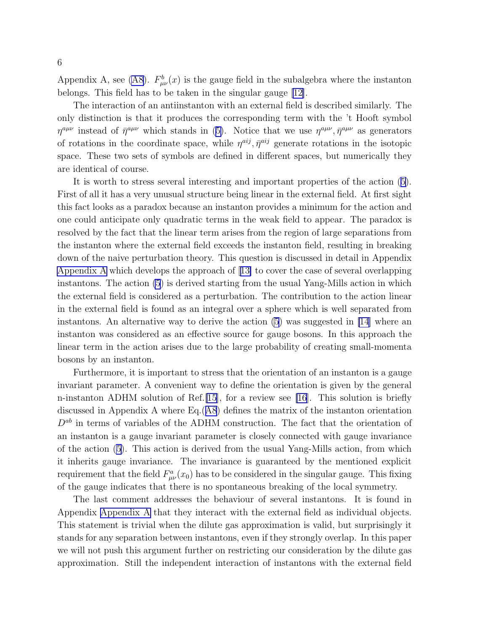Appendix A, see [\(A8](#page-20-0)).  $F^b_{\mu\nu}(x)$  is the gauge field in the subalgebra where the instanton belongs. This field has to be taken in the singular gauge [\[12\]](#page-25-0).

The interaction of an antiinstanton with an external field is described similarly. The only distinction is that it produces the corresponding term with the 't Hooft symbol  $\eta^{a\mu\nu}$ instead of  $\bar{\eta}^{a\mu\nu}$  which stands in ([5\)](#page-4-0). Notice that we use  $\eta^{a\mu\nu}, \bar{\eta}^{a\mu\nu}$  as generators of rotations in the coordinate space, while  $\eta^{aij}$ ,  $\bar{\eta}^{aij}$  generate rotations in the isotopic space. These two sets of symbols are defined in different spaces, but numerically they are identical of course.

It is worth to stress several interesting and important properties of the action [\(5\)](#page-4-0). First of all it has a very unusual structure being linear in the external field. At first sight this fact looks as a paradox because an instanton provides a minimum for the action and one could anticipate only quadratic terms in the weak field to appear. The paradox is resolved by the fact that the linear term arises from the region of large separations from the instanton where the external field exceeds the instanton field, resulting in breaking down of the naive perturbation theory. This question is discussed in detail in Appendix [Appendix A](#page-18-0) which develops the approach of[[13\]](#page-25-0) to cover the case of several overlapping instantons. The action [\(5](#page-4-0)) is derived starting from the usual Yang-Mills action in which the external field is considered as a perturbation. The contribution to the action linear in the external field is found as an integral over a sphere which is well separated from instantons. An alternative way to derive the action  $(5)$  was suggested in [\[14](#page-25-0)] where an instanton was considered as an effective source for gauge bosons. In this approach the linear term in the action arises due to the large probability of creating small-momenta bosons by an instanton.

Furthermore, it is important to stress that the orientation of an instanton is a gauge invariant parameter. A convenient way to define the orientation is given by the general n-instanton ADHM solution of Ref.[\[15\]](#page-25-0), for a review see [\[16\]](#page-25-0). This solution is briefly discussed in Appendix A where Eq.([A8](#page-20-0)) defines the matrix of the instanton orientation  $D^{ab}$  in terms of variables of the ADHM construction. The fact that the orientation of an instanton is a gauge invariant parameter is closely connected with gauge invariance of the action [\(5](#page-4-0)). This action is derived from the usual Yang-Mills action, from which it inherits gauge invariance. The invariance is guaranteed by the mentioned explicit requirement that the field  $F_{\mu\nu}^a(x_0)$  has to be considered in the singular gauge. This fixing of the gauge indicates that there is no spontaneous breaking of the local symmetry.

The last comment addresses the behaviour of several instantons. It is found in Appendix [Appendix A](#page-18-0) that they interact with the external field as individual objects. This statement is trivial when the dilute gas approximation is valid, but surprisingly it stands for any separation between instantons, even if they strongly overlap. In this paper we will not push this argument further on restricting our consideration by the dilute gas approximation. Still the independent interaction of instantons with the external field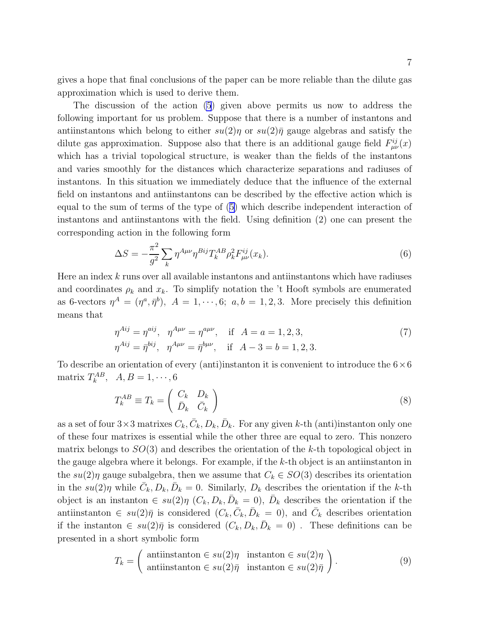<span id="page-6-0"></span>gives a hope that final conclusions of the paper can be more reliable than the dilute gas approximation which is used to derive them.

The discussion of the action [\(5](#page-4-0)) given above permits us now to address the following important for us problem. Suppose that there is a number of instantons and antiinstantons which belong to either  $su(2)\eta$  or  $su(2)\overline{\eta}$  gauge algebras and satisfy the dilute gas approximation. Suppose also that there is an additional gauge field  $F_{\mu\nu}^{ij}(x)$ which has a trivial topological structure, is weaker than the fields of the instantons and varies smoothly for the distances which characterize separations and radiuses of instantons. In this situation we immediately deduce that the influence of the external field on instantons and antiinstantons can be described by the effective action which is equal to the sum of terms of the type of([5\)](#page-4-0) which describe independent interaction of instantons and antiinstantons with the field. Using definition (2) one can present the corresponding action in the following form

$$
\Delta S = -\frac{\pi^2}{g^2} \sum_{k} \eta^{A\mu\nu} \eta^{Bij} T_k^{AB} \rho_k^2 F_{\mu\nu}^{ij}(x_k).
$$
 (6)

Here an index  $k$  runs over all available instantons and antiinstantons which have radiuses and coordinates  $\rho_k$  and  $x_k$ . To simplify notation the 't Hooft symbols are enumerated as 6-vectors  $\eta^A = (\eta^a, \bar{\eta}^b)$ ,  $A = 1, \dots, 6$ ;  $a, b = 1, 2, 3$ . More precisely this definition means that

$$
\eta^{Aij} = \eta^{aij}, \quad \eta^{A\mu\nu} = \eta^{a\mu\nu}, \quad \text{if} \quad A = a = 1, 2, 3, \n\eta^{Aij} = \bar{\eta}^{bij}, \quad \eta^{A\mu\nu} = \bar{\eta}^{b\mu\nu}, \quad \text{if} \quad A - 3 = b = 1, 2, 3.
$$
\n(7)

To describe an orientation of every (anti)instanton it is convenient to introduce the  $6\times6$ matrix  $T_k^{AB}$ ,  $A, B = 1, \dots, 6$ 

$$
T_k^{AB} \equiv T_k = \begin{pmatrix} C_k & D_k \\ \bar{D}_k & \bar{C}_k \end{pmatrix} \tag{8}
$$

as a set of four  $3 \times 3$  matrixes  $C_k$ ,  $\bar{C}_k$ ,  $D_k$ ,  $\bar{D}_k$ . For any given k-th (anti)instanton only one of these four matrixes is essential while the other three are equal to zero. This nonzero matrix belongs to  $SO(3)$  and describes the orientation of the k-th topological object in the gauge algebra where it belongs. For example, if the  $k$ -th object is an antiinstanton in the  $su(2)\eta$  gauge subalgebra, then we assume that  $C_k \in SO(3)$  describes its orientation in the  $su(2)\eta$  while  $\bar{C}_k, D_k, \bar{D}_k = 0$ . Similarly,  $D_k$  describes the orientation if the k-th object is an instanton  $\in su(2)\eta$   $(C_k, D_k, \bar{D}_k = 0)$ ,  $\bar{D}_k$  describes the orientation if the antiinstanton  $\in su(2)\bar{\eta}$  is considered  $(C_k, \bar{C}_k, \bar{D}_k = 0)$ , and  $\bar{C}_k$  describes orientation if the instanton  $\in su(2)\overline{\eta}$  is considered  $(C_k, D_k, \overline{D}_k = 0)$ . These definitions can be presented in a short symbolic form

$$
T_k = \begin{pmatrix} \text{antinstanton } \in su(2)\eta & \text{instanton } \in su(2)\eta \\ \text{antinstanton } \in su(2)\bar{\eta} & \text{instanton } \in su(2)\bar{\eta} \end{pmatrix}.
$$
 (9)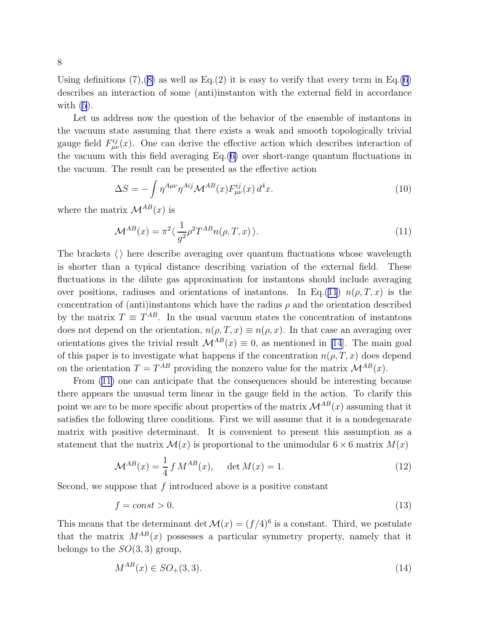<span id="page-7-0"></span>Using definitions  $(7),(8)$  $(7),(8)$  as well as Eq.(2) it is easy to verify that every term in Eq.[\(6](#page-6-0)) describes an interaction of some (anti)instanton with the external field in accordance with  $(5)$ .

Let us address now the question of the behavior of the ensemble of instantons in the vacuum state assuming that there exists a weak and smooth topologically trivial gauge field  $F_{\mu\nu}^{ij}(x)$ . One can derive the effective action which describes interaction of the vacuum with this field averaging Eq.([6\)](#page-6-0) over short-range quantum fluctuations in the vacuum. The result can be presented as the effective action

$$
\Delta S = -\int \eta^{A\mu\nu} \eta^{Aij} \mathcal{M}^{AB}(x) F^{ij}_{\mu\nu}(x) d^4 x. \tag{10}
$$

where the matrix  $\mathcal{M}^{AB}(x)$  is

$$
\mathcal{M}^{AB}(x) = \pi^2 \langle \frac{1}{g^2} \rho^2 T^{AB} n(\rho, T, x) \rangle.
$$
 (11)

The brackets  $\langle \rangle$  here describe averaging over quantum fluctuations whose wavelength is shorter than a typical distance describing variation of the external field. These fluctuations in the dilute gas approximation for instantons should include averaging over positions, radiuses and orientations of instantons. In Eq.(11)  $n(\rho, T, x)$  is the concentration of (anti)instantons which have the radius  $\rho$  and the orientation described by the matrix  $T \equiv T^{AB}$ . In the usual vacuum states the concentration of instantons does not depend on the orientation,  $n(\rho, T, x) \equiv n(\rho, x)$ . In that case an averaging over orientations gives the trivial result  $\mathcal{M}^{AB}(x) \equiv 0$ , as mentioned in [\[14](#page-25-0)]. The main goal of this paper is to investigate what happens if the concentration  $n(\rho, T, x)$  does depend on the orientation  $T = T^{AB}$  providing the nonzero value for the matrix  $\mathcal{M}^{AB}(x)$ .

From (11) one can anticipate that the consequences should be interesting because there appears the unusual term linear in the gauge field in the action. To clarify this point we are to be more specific about properties of the matrix  $\mathcal{M}^{AB}(x)$  assuming that it satisfies the following three conditions. First we will assume that it is a nondegenarate matrix with positive determinant. It is convenient to present this assumption as a statement that the matrix  $\mathcal{M}(x)$  is proportional to the unimodular  $6 \times 6$  matrix  $M(x)$ 

$$
\mathcal{M}^{AB}(x) = \frac{1}{4} f M^{AB}(x), \quad \det M(x) = 1.
$$
 (12)

Second, we suppose that  $f$  introduced above is a positive constant

$$
f = const > 0.\tag{13}
$$

This means that the determinant det  $\mathcal{M}(x) = (f/4)^6$  is a constant. Third, we postulate that the matrix  $M^{AB}(x)$  possesses a particular symmetry property, namely that it belongs to the  $SO(3,3)$  group,

$$
M^{AB}(x) \in SO_+(3,3). \tag{14}
$$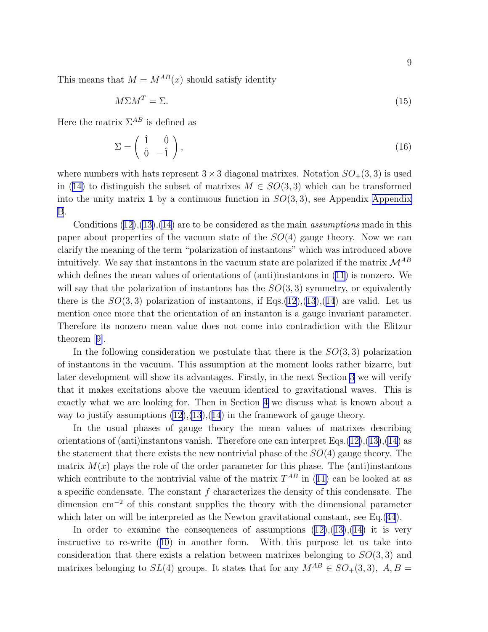<span id="page-8-0"></span>This means that  $M = M^{AB}(x)$  should satisfy identity

$$
M\Sigma M^T = \Sigma. \tag{15}
$$

Here the matrix  $\Sigma^{AB}$  is defined as

$$
\Sigma = \begin{pmatrix} \hat{1} & \hat{0} \\ \hat{0} & -\hat{1} \end{pmatrix},\tag{16}
$$

where numbers with hats represent  $3 \times 3$  diagonal matrixes. Notation  $SO_+(3,3)$  is used in([14\)](#page-7-0) to distinguish the subset of matrixes  $M \in SO(3,3)$  which can be transformed into the unity matrix 1 by a continuous function in  $SO(3,3)$ , see [Appendix](#page-23-0) Appendix [B](#page-23-0).

Conditions  $(12),(13),(14)$  $(12),(13),(14)$  $(12),(13),(14)$  $(12),(13),(14)$  $(12),(13),(14)$  are to be considered as the main *assumptions* made in this paper about properties of the vacuum state of the  $SO(4)$  gauge theory. Now we can clarify the meaning of the term "polarization of instantons" which was introduced above intuitively. We say that instantons in the vacuum state are polarized if the matrix  $\mathcal{M}^{AB}$ which defines the mean values of orientations of (anti)instantons in [\(11\)](#page-7-0) is nonzero. We will say that the polarization of instantons has the  $SO(3,3)$  symmetry, or equivalently there is the  $SO(3,3)$  polarization of instantons, if Eqs.[\(12](#page-7-0)),([13](#page-7-0)),([14](#page-7-0)) are valid. Let us mention once more that the orientation of an instanton is a gauge invariant parameter. Therefore its nonzero mean value does not come into contradiction with the Elitzur theorem[[9\]](#page-25-0).

In the following consideration we postulate that there is the  $SO(3,3)$  polarization of instantons in the vacuum. This assumption at the moment looks rather bizarre, but later development will show its advantages. Firstly, in the next Section [3](#page-10-0) we will verify that it makes excitations above the vacuum identical to gravitational waves. This is exactly what we are looking for. Then in Section [4](#page-14-0) we discuss what is known about a way to justify assumptions  $(12),(13),(14)$  $(12),(13),(14)$  $(12),(13),(14)$  $(12),(13),(14)$  $(12),(13),(14)$  in the framework of gauge theory.

In the usual phases of gauge theory the mean values of matrixes describing orientations of (anti)instantons vanish. Therefore one can interpret Eqs. $(12),(13),(14)$  $(12),(13),(14)$  $(12),(13),(14)$  $(12),(13),(14)$  $(12),(13),(14)$  $(12),(13),(14)$  as the statement that there exists the new nontrivial phase of the  $SO(4)$  gauge theory. The matrix  $M(x)$  plays the role of the order parameter for this phase. The (anti)instantons whichcontribute to the nontrivial value of the matrix  $T^{AB}$  in ([11\)](#page-7-0) can be looked at as a specific condensate. The constant  $f$  characterizes the density of this condensate. The dimension cm<sup>−</sup><sup>2</sup> of this constant supplies the theory with the dimensional parameter which later on will be interpreted as the Newton gravitational constant, see Eq.[\(44\)](#page-13-0).

Inorder to examine the consequences of assumptions  $(12),(13),(14)$  $(12),(13),(14)$  $(12),(13),(14)$  $(12),(13),(14)$  $(12),(13),(14)$  $(12),(13),(14)$  it is very instructive to re-write([10](#page-7-0)) in another form. With this purpose let us take into consideration that there exists a relation between matrixes belonging to  $SO(3,3)$  and matrixes belonging to  $SL(4)$  groups. It states that for any  $M^{AB} \in SO_+(3,3)$ ,  $A, B =$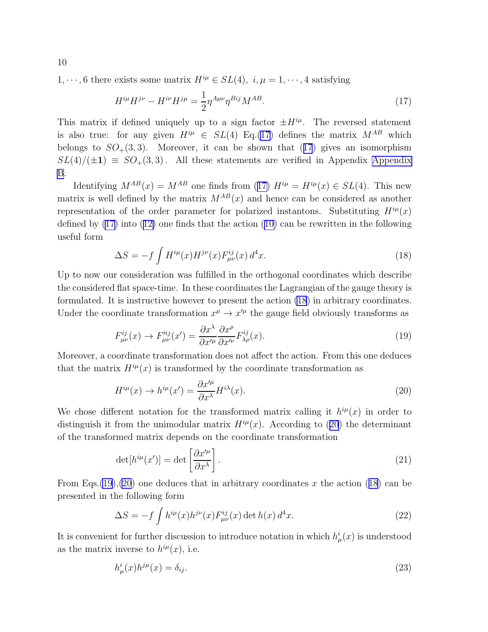1,  $\cdots$ , 6 there exists some matrix  $H^{i\mu} \in SL(4)$ ,  $i, \mu = 1, \cdots, 4$  satisfying

$$
H^{i\mu}H^{j\nu} - H^{i\nu}H^{j\mu} = \frac{1}{2}\eta^{A\mu\nu}\eta^{Bij}M^{AB}.
$$
 (17)

This matrix if defined uniquely up to a sign factor  $\pm H^{i\mu}$ . The reversed statement is also true: for any given  $H^{i\mu} \in SL(4)$  Eq.(17) defines the matrix  $M^{AB}$  which belongs to  $SO_+(3,3)$ . Moreover, it can be shown that (17) gives an isomorphism  $SL(4)/(\pm 1) \equiv SO_+(3,3)$ . All these statements are verified in [Appendix](#page-23-0) Appendix [B](#page-23-0).

Identifying  $M^{AB}(x) = M^{AB}$  one finds from (17)  $H^{i\mu} = H^{i\mu}(x) \in SL(4)$ . This new matrix is well defined by the matrix  $M^{AB}(x)$  and hence can be considered as another representation of the order parameter for polarized instantons. Substituting  $H^{i\mu}(x)$ defined by (17) into([12\)](#page-7-0) one finds that the action([10\)](#page-7-0) can be rewritten in the following useful form

$$
\Delta S = -f \int H^{i\mu}(x) H^{j\nu}(x) F^{ij}_{\mu\nu}(x) d^4 x. \tag{18}
$$

Up to now our consideration was fulfilled in the orthogonal coordinates which describe the considered flat space-time. In these coordinates the Lagrangian of the gauge theory is formulated. It is instructive however to present the action (18) in arbitrary coordinates. Under the coordinate transformation  $x^{\mu} \to x^{\prime \mu}$  the gauge field obviously transforms as

$$
F_{\mu\nu}^{ij}(x) \to F_{\mu\nu}^{\prime ij}(x') = \frac{\partial x^{\lambda}}{\partial x^{\prime \mu}} \frac{\partial x^{\rho}}{\partial x^{\prime \nu}} F_{\lambda\rho}^{ij}(x). \tag{19}
$$

Moreover, a coordinate transformation does not affect the action. From this one deduces that the matrix  $H^{i\mu}(x)$  is transformed by the coordinate transformation as

$$
H^{i\mu}(x) \to h^{i\mu}(x') = \frac{\partial x'^{\mu}}{\partial x^{\lambda}} H^{i\lambda}(x). \tag{20}
$$

We chose different notation for the transformed matrix calling it  $h^{i\mu}(x)$  in order to distinguish it from the unimodular matrix  $H^{i\mu}(x)$ . According to (20) the determinant of the transformed matrix depends on the coordinate transformation

$$
\det[h^{i\mu}(x')] = \det\left[\frac{\partial x'^{\mu}}{\partial x^{\lambda}}\right].\tag{21}
$$

From Eqs.  $(19)$ ,  $(20)$  one deduces that in arbitrary coordinates x the action  $(18)$  can be presented in the following form

$$
\Delta S = -f \int h^{i\mu}(x) h^{j\nu}(x) F^{ij}_{\mu\nu}(x) \det h(x) d^4 x.
$$
\n(22)

It is convenient for further discussion to introduce notation in which  $h^i_\mu(x)$  is understood as the matrix inverse to  $h^{i\mu}(x)$ , i.e.

$$
h^i_\mu(x)h^{j\mu}(x) = \delta_{ij}.\tag{23}
$$

<span id="page-9-0"></span>10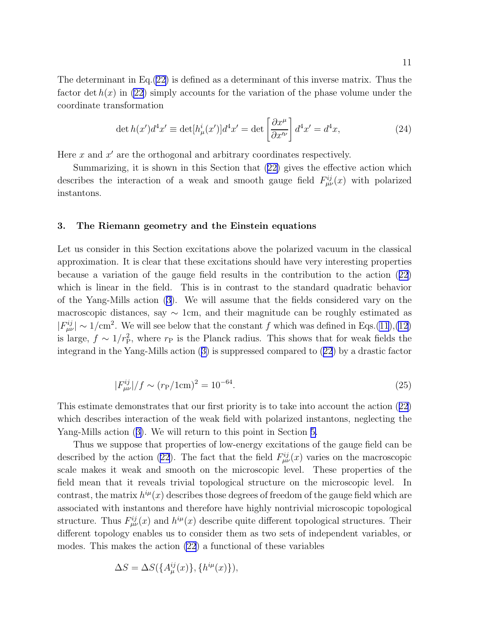<span id="page-10-0"></span>The determinant in Eq.[\(22\)](#page-9-0) is defined as a determinant of this inverse matrix. Thus the factor det  $h(x)$  in [\(22](#page-9-0)) simply accounts for the variation of the phase volume under the coordinate transformation

$$
\det h(x')d^4x' \equiv \det[h^i_\mu(x')]d^4x' = \det\left[\frac{\partial x^\mu}{\partial x'^\nu}\right]d^4x' = d^4x,\tag{24}
$$

Here  $x$  and  $x'$  are the orthogonal and arbitrary coordinates respectively.

Summarizing, it is shown in this Section that([22\)](#page-9-0) gives the effective action which describes the interaction of a weak and smooth gauge field  $F_{\mu\nu}^{ij}(x)$  with polarized instantons.

#### 3. The Riemann geometry and the Einstein equations

Let us consider in this Section excitations above the polarized vacuum in the classical approximation. It is clear that these excitations should have very interesting properties because a variation of the gauge field results in the contribution to the action([22](#page-9-0)) which is linear in the field. This is in contrast to the standard quadratic behavior of the Yang-Mills action [\(3\)](#page-4-0). We will assume that the fields considered vary on the macroscopic distances, say  $\sim 1$ cm, and their magnitude can be roughly estimated as  $|F_{\mu\nu}^{ij}| \sim 1/\text{cm}^2$ . We will see below that the constant f which was defined in Eqs.[\(11](#page-7-0)),[\(12](#page-7-0)) is large,  $f \sim 1/r_{\rm P}^2$ , where  $r_{\rm P}$  is the Planck radius. This shows that for weak fields the integrand in the Yang-Mills action([3\)](#page-4-0) is suppressed compared to([22](#page-9-0)) by a drastic factor

$$
|F_{\mu\nu}^{ij}|/f \sim (r_{\rm P}/1{\rm cm})^2 = 10^{-64}.\tag{25}
$$

This estimate demonstrates that our first priority is to take into account the action([22](#page-9-0)) which describes interaction of the weak field with polarized instantons, neglecting the Yang-Mills action([3\)](#page-4-0). We will return to this point in Section [5.](#page-18-0)

Thus we suppose that properties of low-energy excitations of the gauge field can be described by the action [\(22\)](#page-9-0). The fact that the field  $F_{\mu\nu}^{ij}(x)$  varies on the macroscopic scale makes it weak and smooth on the microscopic level. These properties of the field mean that it reveals trivial topological structure on the microscopic level. In contrast, the matrix  $h^{i\mu}(x)$  describes those degrees of freedom of the gauge field which are associated with instantons and therefore have highly nontrivial microscopic topological structure. Thus  $F_{\mu\nu}^{ij}(x)$  and  $h^{i\mu}(x)$  describe quite different topological structures. Their different topology enables us to consider them as two sets of independent variables, or modes. This makes the action [\(22](#page-9-0)) a functional of these variables

$$
\Delta S = \Delta S(\lbrace A_{\mu}^{ij}(x)\rbrace, \lbrace h^{i\mu}(x)\rbrace),
$$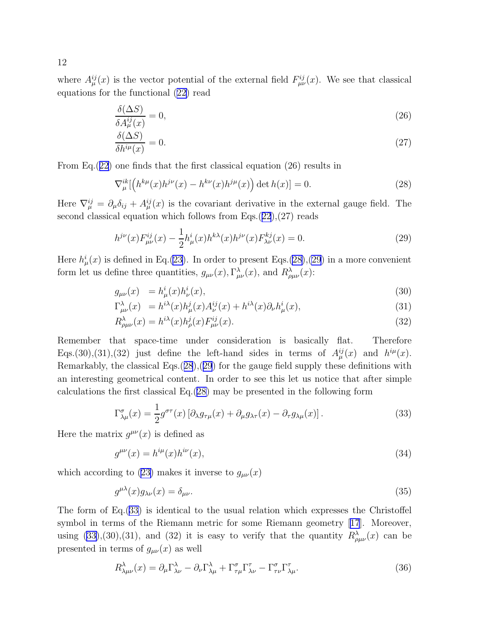<span id="page-11-0"></span>where  $A_{\mu}^{ij}(x)$  is the vector potential of the external field  $F_{\mu\nu}^{ij}(x)$ . We see that classical equations for the functional([22\)](#page-9-0) read

$$
\frac{\delta(\Delta S)}{\delta A_{\mu}^{ij}(x)} = 0,\tag{26}
$$

$$
\frac{\delta(\Delta S)}{\delta h^{i\mu}(x)} = 0.
$$
\n(27)

From Eq.([22](#page-9-0)) one finds that the first classical equation (26) results in

$$
\nabla_{\mu}^{ik} [ \left( h^{k\mu}(x) h^{j\nu}(x) - h^{k\nu}(x) h^{j\mu}(x) \right) \det h(x) ] = 0.
$$
 (28)

Here  $\nabla_{\mu}^{ij} = \partial_{\mu} \delta_{ij} + A_{\mu}^{ij}(x)$  is the covariant derivative in the external gauge field. The second classical equation which follows from Eqs.([22](#page-9-0)),(27) reads

$$
h^{j\nu}(x)F^{ij}_{\mu\nu}(x) - \frac{1}{2}h^i_{\mu}(x)h^{k\lambda}(x)h^{j\nu}(x)F^{kj}_{\lambda\nu}(x) = 0.
$$
 (29)

Here  $h^i_\mu(x)$  is defined in Eq.[\(23](#page-9-0)). In order to present Eqs.(28),(29) in a more convenient form let us define three quantities,  $g_{\mu\nu}(x)$ ,  $\Gamma^{\lambda}_{\mu\nu}(x)$ , and  $R^{\lambda}_{\rho\mu\nu}(x)$ :

$$
g_{\mu\nu}(x) = h^i_{\mu}(x)h^i_{\nu}(x), \tag{30}
$$

$$
\Gamma^{\lambda}_{\mu\nu}(x) = h^{i\lambda}(x)h^{j}_{\mu}(x)A^{ij}_{\nu}(x) + h^{i\lambda}(x)\partial_{\nu}h^{i}_{\mu}(x), \tag{31}
$$

$$
R^{\lambda}_{\rho\mu\nu}(x) = h^{i\lambda}(x)h^{j}_{\rho}(x)F^{ij}_{\mu\nu}(x). \tag{32}
$$

Remember that space-time under consideration is basically flat. Therefore Eqs.(30),(31),(32) just define the left-hand sides in terms of  $A_{\mu}^{ij}(x)$  and  $h^{i\mu}(x)$ . Remarkably, the classical Eqs.(28),(29) for the gauge field supply these definitions with an interesting geometrical content. In order to see this let us notice that after simple calculations the first classical Eq.(28) may be presented in the following form

$$
\Gamma^{\sigma}_{\lambda\mu}(x) = \frac{1}{2} g^{\sigma\tau}(x) \left[ \partial_{\lambda} g_{\tau\mu}(x) + \partial_{\mu} g_{\lambda\tau}(x) - \partial_{\tau} g_{\lambda\mu}(x) \right]. \tag{33}
$$

Here the matrix  $g^{\mu\nu}(x)$  is defined as

$$
g^{\mu\nu}(x) = h^{i\mu}(x)h^{i\nu}(x),\tag{34}
$$

whichaccording to ([23\)](#page-9-0) makes it inverse to  $g_{\mu\nu}(x)$ 

$$
g^{\mu\lambda}(x)g_{\lambda\nu}(x) = \delta_{\mu\nu}.\tag{35}
$$

The form of Eq.(33) is identical to the usual relation which expresses the Christoffel symbol in terms of the Riemann metric for some Riemann geometry[[17](#page-25-0)]. Moreover, using (33),(30),(31), and (32) it is easy to verify that the quantity  $R^{\lambda}_{\rho\mu\nu}(x)$  can be presented in terms of  $g_{\mu\nu}(x)$  as well

$$
R^{\lambda}_{\lambda\mu\nu}(x) = \partial_{\mu}\Gamma^{\lambda}_{\lambda\nu} - \partial_{\nu}\Gamma^{\lambda}_{\lambda\mu} + \Gamma^{\sigma}_{\tau\mu}\Gamma^{\tau}_{\lambda\nu} - \Gamma^{\sigma}_{\tau\nu}\Gamma^{\tau}_{\lambda\mu}.
$$
 (36)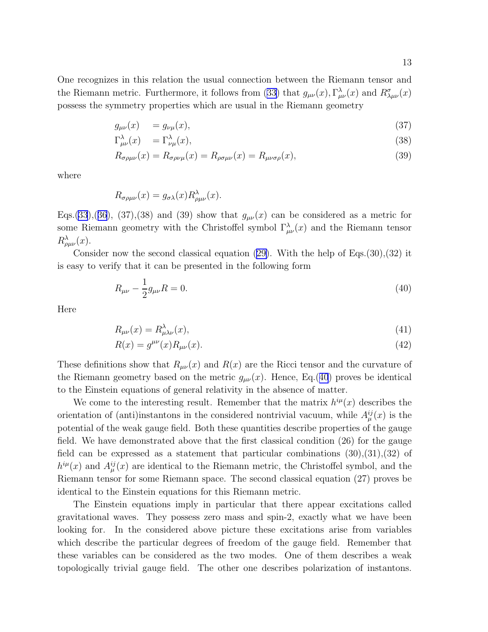<span id="page-12-0"></span>One recognizes in this relation the usual connection between the Riemann tensor and the Riemann metric. Furthermore, it follows from [\(33\)](#page-11-0) that  $g_{\mu\nu}(x)$ ,  $\Gamma^{\lambda}_{\mu\nu}(x)$  and  $R^{\sigma}_{\lambda\mu\nu}(x)$ possess the symmetry properties which are usual in the Riemann geometry

$$
g_{\mu\nu}(x) = g_{\nu\mu}(x),\tag{37}
$$

$$
\Gamma^{\lambda}_{\mu\nu}(x) = \Gamma^{\lambda}_{\nu\mu}(x),\tag{38}
$$

$$
R_{\sigma\rho\mu\nu}(x) = R_{\sigma\rho\nu\mu}(x) = R_{\rho\sigma\mu\nu}(x) = R_{\mu\nu\sigma\rho}(x),
$$
\n(39)

where

$$
R_{\sigma\rho\mu\nu}(x) = g_{\sigma\lambda}(x) R^{\lambda}_{\rho\mu\nu}(x).
$$

Eqs.[\(33](#page-11-0)),([36](#page-11-0)), (37),(38) and (39) show that  $g_{\mu\nu}(x)$  can be considered as a metric for some Riemann geometry with the Christoffel symbol  $\Gamma^{\lambda}_{\mu\nu}(x)$  and the Riemann tensor  $R^{\lambda}_{\rho\mu\nu}(x)$ .

Consider now the second classical equation [\(29\)](#page-11-0). With the help of Eqs.  $(30),(32)$  it is easy to verify that it can be presented in the following form

$$
R_{\mu\nu} - \frac{1}{2}g_{\mu\nu}R = 0.
$$
\n(40)

Here

$$
R_{\mu\nu}(x) = R^{\lambda}_{\mu\lambda\nu}(x),\tag{41}
$$

$$
R(x) = g^{\mu\nu}(x)R_{\mu\nu}(x). \tag{42}
$$

These definitions show that  $R_{\mu\nu}(x)$  and  $R(x)$  are the Ricci tensor and the curvature of the Riemann geometry based on the metric  $g_{\mu\nu}(x)$ . Hence, Eq.(40) proves be identical to the Einstein equations of general relativity in the absence of matter.

We come to the interesting result. Remember that the matrix  $h^{i\mu}(x)$  describes the orientation of (anti)instantons in the considered nontrivial vacuum, while  $A_{\mu}^{ij}(x)$  is the potential of the weak gauge field. Both these quantities describe properties of the gauge field. We have demonstrated above that the first classical condition (26) for the gauge field can be expressed as a statement that particular combinations  $(30),(31),(32)$  of  $h^{i\mu}(x)$  and  $A^{ij}_{\mu}(x)$  are identical to the Riemann metric, the Christoffel symbol, and the Riemann tensor for some Riemann space. The second classical equation (27) proves be identical to the Einstein equations for this Riemann metric.

The Einstein equations imply in particular that there appear excitations called gravitational waves. They possess zero mass and spin-2, exactly what we have been looking for. In the considered above picture these excitations arise from variables which describe the particular degrees of freedom of the gauge field. Remember that these variables can be considered as the two modes. One of them describes a weak topologically trivial gauge field. The other one describes polarization of instantons.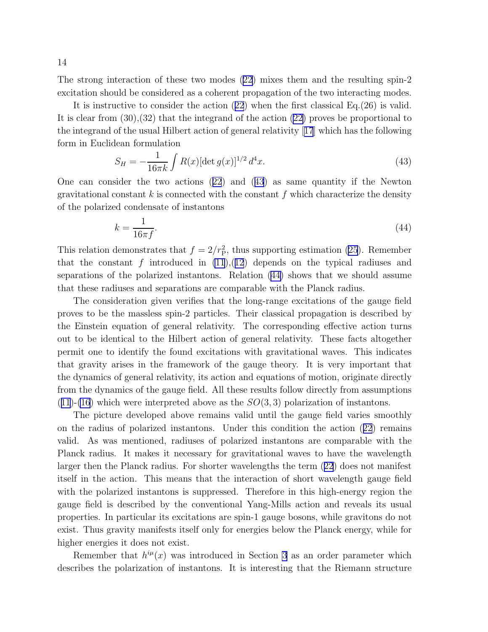<span id="page-13-0"></span>The strong interaction of these two modes [\(22\)](#page-9-0) mixes them and the resulting spin-2 excitation should be considered as a coherent propagation of the two interacting modes.

It is instructive to consider the action([22](#page-9-0)) when the first classical Eq.(26) is valid. It is clear from (30),(32) that the integrand of the action [\(22\)](#page-9-0) proves be proportional to the integrand of the usual Hilbert action of general relativity[[17](#page-25-0)] which has the following form in Euclidean formulation

$$
S_H = -\frac{1}{16\pi k} \int R(x) [\det g(x)]^{1/2} d^4 x.
$$
 (43)

Onecan consider the two actions  $(22)$  $(22)$  $(22)$  and  $(43)$  as same quantity if the Newton gravitational constant  $k$  is connected with the constant  $f$  which characterize the density of the polarized condensate of instantons

$$
k = \frac{1}{16\pi f}.\tag{44}
$$

This relation demonstrates that  $f = 2/r_{\rm P}^2$ , thus supporting estimation [\(25](#page-10-0)). Remember that the constant f introduced in  $(11)$ , $(12)$  $(12)$  $(12)$  depends on the typical radiuses and separations of the polarized instantons. Relation (44) shows that we should assume that these radiuses and separations are comparable with the Planck radius.

The consideration given verifies that the long-range excitations of the gauge field proves to be the massless spin-2 particles. Their classical propagation is described by the Einstein equation of general relativity. The corresponding effective action turns out to be identical to the Hilbert action of general relativity. These facts altogether permit one to identify the found excitations with gravitational waves. This indicates that gravity arises in the framework of the gauge theory. It is very important that the dynamics of general relativity, its action and equations of motion, originate directly from the dynamics of the gauge field. All these results follow directly from assumptions  $(11)-(16)$  $(11)-(16)$  $(11)-(16)$  $(11)-(16)$  $(11)-(16)$  which were interpreted above as the  $SO(3,3)$  polarization of instantons.

The picture developed above remains valid until the gauge field varies smoothly on the radius of polarized instantons. Under this condition the action([22](#page-9-0)) remains valid. As was mentioned, radiuses of polarized instantons are comparable with the Planck radius. It makes it necessary for gravitational waves to have the wavelength larger then the Planck radius. For shorter wavelengths the term([22](#page-9-0)) does not manifest itself in the action. This means that the interaction of short wavelength gauge field with the polarized instantons is suppressed. Therefore in this high-energy region the gauge field is described by the conventional Yang-Mills action and reveals its usual properties. In particular its excitations are spin-1 gauge bosons, while gravitons do not exist. Thus gravity manifests itself only for energies below the Planck energy, while for higher energies it does not exist.

Remember that  $h^{i\mu}(x)$  was introduced in Section [3](#page-10-0) as an order parameter which describes the polarization of instantons. It is interesting that the Riemann structure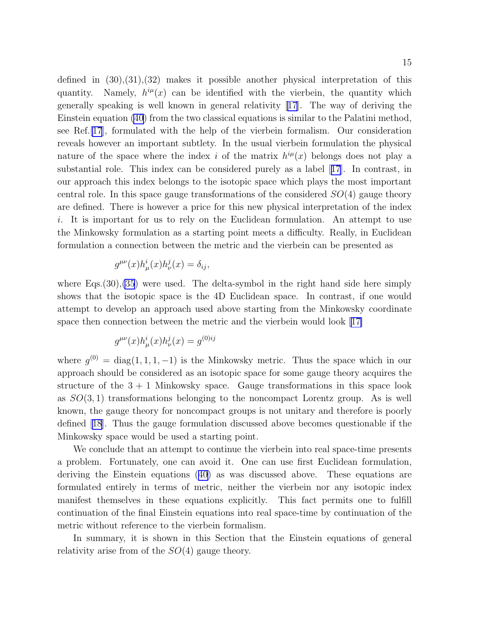<span id="page-14-0"></span>defined in  $(30),(31),(32)$  makes it possible another physical interpretation of this quantity. Namely,  $h^{i\mu}(x)$  can be identified with the vierbein, the quantity which generally speaking is well known in general relativity [\[17\]](#page-25-0). The way of deriving the Einstein equation [\(40](#page-12-0)) from the two classical equations is similar to the Palatini method, see Ref.[\[17](#page-25-0)], formulated with the help of the vierbein formalism. Our consideration reveals however an important subtlety. In the usual vierbein formulation the physical nature of the space where the index i of the matrix  $h^{i\mu}(x)$  belongs does not play a substantial role. This index can be considered purely as a label[[17](#page-25-0)]. In contrast, in our approach this index belongs to the isotopic space which plays the most important central role. In this space gauge transformations of the considered  $SO(4)$  gauge theory are defined. There is however a price for this new physical interpretation of the index i. It is important for us to rely on the Euclidean formulation. An attempt to use the Minkowsky formulation as a starting point meets a difficulty. Really, in Euclidean formulation a connection between the metric and the vierbein can be presented as

$$
g^{\mu\nu}(x)h^i_\mu(x)h^j_\nu(x) = \delta_{ij},
$$

where  $Eqs.(30),(35)$  $Eqs.(30),(35)$  $Eqs.(30),(35)$  were used. The delta-symbol in the right hand side here simply shows that the isotopic space is the 4D Euclidean space. In contrast, if one would attempt to develop an approach used above starting from the Minkowsky coordinate space then connection between the metric and the vierbein would look[[17\]](#page-25-0)

$$
g^{\mu\nu}(x)h_{\mu}^{i}(x)h_{\nu}^{j}(x)=g^{(0)ij}
$$

where  $g^{(0)} = \text{diag}(1, 1, 1, -1)$  is the Minkowsky metric. Thus the space which in our approach should be considered as an isotopic space for some gauge theory acquires the structure of the  $3 + 1$  Minkowsky space. Gauge transformations in this space look as  $SO(3,1)$  transformations belonging to the noncompact Lorentz group. As is well known, the gauge theory for noncompact groups is not unitary and therefore is poorly defined [\[18\]](#page-25-0). Thus the gauge formulation discussed above becomes questionable if the Minkowsky space would be used a starting point.

We conclude that an attempt to continue the vierbein into real space-time presents a problem. Fortunately, one can avoid it. One can use first Euclidean formulation, deriving the Einstein equations([40\)](#page-12-0) as was discussed above. These equations are formulated entirely in terms of metric, neither the vierbein nor any isotopic index manifest themselves in these equations explicitly. This fact permits one to fulfill continuation of the final Einstein equations into real space-time by continuation of the metric without reference to the vierbein formalism.

In summary, it is shown in this Section that the Einstein equations of general relativity arise from of the  $SO(4)$  gauge theory.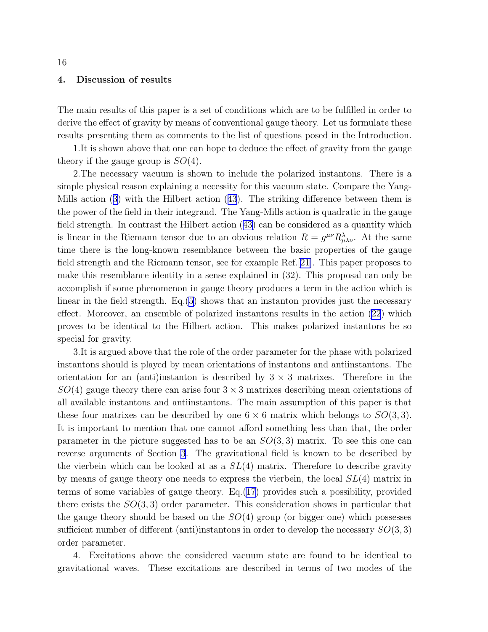#### 4. Discussion of results

The main results of this paper is a set of conditions which are to be fulfilled in order to derive the effect of gravity by means of conventional gauge theory. Let us formulate these results presenting them as comments to the list of questions posed in the Introduction.

1.It is shown above that one can hope to deduce the effect of gravity from the gauge theory if the gauge group is  $SO(4)$ .

2.The necessary vacuum is shown to include the polarized instantons. There is a simple physical reason explaining a necessity for this vacuum state. Compare the Yang-Mills action([3\)](#page-4-0) with the Hilbert action([43](#page-13-0)). The striking difference between them is the power of the field in their integrand. The Yang-Mills action is quadratic in the gauge field strength. In contrast the Hilbert action([43\)](#page-13-0) can be considered as a quantity which is linear in the Riemann tensor due to an obvious relation  $R = g^{\mu\nu} R^{\lambda}_{\mu\lambda\nu}$ . At the same time there is the long-known resemblance between the basic properties of the gauge field strength and the Riemann tensor, see for example Ref.[[21\]](#page-26-0). This paper proposes to make this resemblance identity in a sense explained in (32). This proposal can only be accomplish if some phenomenon in gauge theory produces a term in the action which is linear in the field strength. Eq.([5\)](#page-4-0) shows that an instanton provides just the necessary effect. Moreover, an ensemble of polarized instantons results in the action [\(22](#page-9-0)) which proves to be identical to the Hilbert action. This makes polarized instantons be so special for gravity.

3.It is argued above that the role of the order parameter for the phase with polarized instantons should is played by mean orientations of instantons and antiinstantons. The orientation for an (anti)instanton is described by  $3 \times 3$  matrixes. Therefore in the  $SO(4)$  gauge theory there can arise four  $3 \times 3$  matrixes describing mean orientations of all available instantons and antiinstantons. The main assumption of this paper is that these four matrixes can be described by one  $6 \times 6$  matrix which belongs to  $SO(3,3)$ . It is important to mention that one cannot afford something less than that, the order parameter in the picture suggested has to be an  $SO(3,3)$  matrix. To see this one can reverse arguments of Section [3](#page-10-0). The gravitational field is known to be described by the vierbein which can be looked at as a  $SL(4)$  matrix. Therefore to describe gravity by means of gauge theory one needs to express the vierbein, the local  $SL(4)$  matrix in terms of some variables of gauge theory. Eq.[\(17\)](#page-9-0) provides such a possibility, provided there exists the  $SO(3,3)$  order parameter. This consideration shows in particular that the gauge theory should be based on the  $SO(4)$  group (or bigger one) which possesses sufficient number of different (anti)instantons in order to develop the necessary  $SO(3,3)$ order parameter.

4. Excitations above the considered vacuum state are found to be identical to gravitational waves. These excitations are described in terms of two modes of the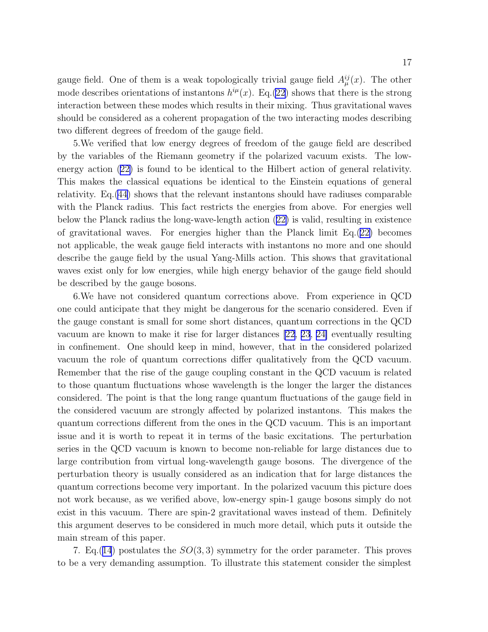gauge field. One of them is a weak topologically trivial gauge field  $A_{\mu}^{ij}(x)$ . The other mode describes orientations of instantons  $h^{i\mu}(x)$ . Eq.[\(22\)](#page-9-0) shows that there is the strong interaction between these modes which results in their mixing. Thus gravitational waves should be considered as a coherent propagation of the two interacting modes describing two different degrees of freedom of the gauge field.

5.We verified that low energy degrees of freedom of the gauge field are described by the variables of the Riemann geometry if the polarized vacuum exists. The lowenergy action([22\)](#page-9-0) is found to be identical to the Hilbert action of general relativity. This makes the classical equations be identical to the Einstein equations of general relativity. Eq.[\(44\)](#page-13-0) shows that the relevant instantons should have radiuses comparable with the Planck radius. This fact restricts the energies from above. For energies well below the Planck radius the long-wave-length action([22\)](#page-9-0) is valid, resulting in existence of gravitational waves. For energies higher than the Planck limit Eq.([22\)](#page-9-0) becomes not applicable, the weak gauge field interacts with instantons no more and one should describe the gauge field by the usual Yang-Mills action. This shows that gravitational waves exist only for low energies, while high energy behavior of the gauge field should be described by the gauge bosons.

6.We have not considered quantum corrections above. From experience in QCD one could anticipate that they might be dangerous for the scenario considered. Even if the gauge constant is small for some short distances, quantum corrections in the QCD vacuum are known to make it rise for larger distances [\[22](#page-26-0), [23](#page-26-0), [24\]](#page-26-0) eventually resulting in confinement. One should keep in mind, however, that in the considered polarized vacuum the role of quantum corrections differ qualitatively from the QCD vacuum. Remember that the rise of the gauge coupling constant in the QCD vacuum is related to those quantum fluctuations whose wavelength is the longer the larger the distances considered. The point is that the long range quantum fluctuations of the gauge field in the considered vacuum are strongly affected by polarized instantons. This makes the quantum corrections different from the ones in the QCD vacuum. This is an important issue and it is worth to repeat it in terms of the basic excitations. The perturbation series in the QCD vacuum is known to become non-reliable for large distances due to large contribution from virtual long-wavelength gauge bosons. The divergence of the perturbation theory is usually considered as an indication that for large distances the quantum corrections become very important. In the polarized vacuum this picture does not work because, as we verified above, low-energy spin-1 gauge bosons simply do not exist in this vacuum. There are spin-2 gravitational waves instead of them. Definitely this argument deserves to be considered in much more detail, which puts it outside the main stream of this paper.

7. Eq. ([14](#page-7-0)) postulates the  $SO(3,3)$  symmetry for the order parameter. This proves to be a very demanding assumption. To illustrate this statement consider the simplest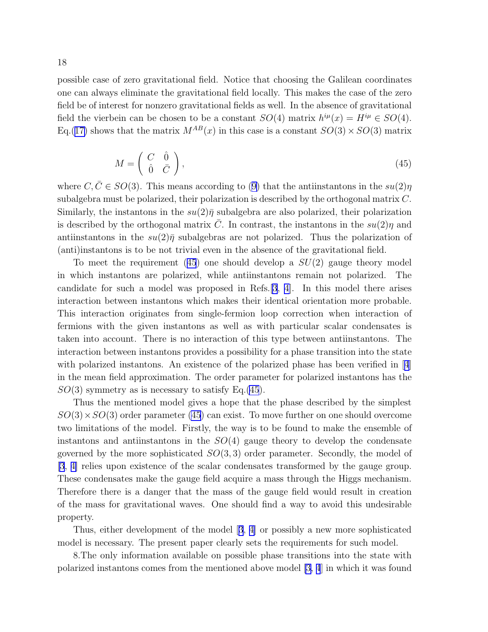possible case of zero gravitational field. Notice that choosing the Galilean coordinates one can always eliminate the gravitational field locally. This makes the case of the zero field be of interest for nonzero gravitational fields as well. In the absence of gravitational field the vierbein can be chosen to be a constant  $SO(4)$  matrix  $h^{i\mu}(x) = H^{i\mu} \in SO(4)$ . Eq.([17\)](#page-9-0) shows that the matrix  $M^{AB}(x)$  in this case is a constant  $SO(3) \times SO(3)$  matrix

$$
M = \begin{pmatrix} C & \hat{0} \\ \hat{0} & \bar{C} \end{pmatrix},\tag{45}
$$

where $C, \bar{C} \in SO(3)$ . This means according to ([9\)](#page-6-0) that the antiinstantons in the  $su(2)\eta$ subalgebra must be polarized, their polarization is described by the orthogonal matrix C. Similarly, the instantons in the  $su(2)\bar{\eta}$  subalgebra are also polarized, their polarization is described by the orthogonal matrix  $\overline{C}$ . In contrast, the instantons in the  $su(2)\eta$  and antiinstantons in the  $su(2)\bar{\eta}$  subalgebras are not polarized. Thus the polarization of (anti)instantons is to be not trivial even in the absence of the gravitational field.

To meet the requirement (45) one should develop a  $SU(2)$  gauge theory model in which instantons are polarized, while antiinstantons remain not polarized. The candidate for such a model was proposed in Refs.[\[3](#page-25-0), [4\]](#page-25-0). In this model there arises interaction between instantons which makes their identical orientation more probable. This interaction originates from single-fermion loop correction when interaction of fermions with the given instantons as well as with particular scalar condensates is taken into account. There is no interaction of this type between antiinstantons. The interaction between instantons provides a possibility for a phase transition into the state withpolarized instantons. An existence of the polarized phase has been verified in [[4](#page-25-0)] in the mean field approximation. The order parameter for polarized instantons has the  $SO(3)$  symmetry as is necessary to satisfy Eq.(45).

Thus the mentioned model gives a hope that the phase described by the simplest  $SO(3) \times SO(3)$  order parameter (45) can exist. To move further on one should overcome two limitations of the model. Firstly, the way is to be found to make the ensemble of instantons and antiinstantons in the  $SO(4)$  gauge theory to develop the condensate governed by the more sophisticated  $SO(3,3)$  order parameter. Secondly, the model of [\[3](#page-25-0), [4\]](#page-25-0) relies upon existence of the scalar condensates transformed by the gauge group. These condensates make the gauge field acquire a mass through the Higgs mechanism. Therefore there is a danger that the mass of the gauge field would result in creation of the mass for gravitational waves. One should find a way to avoid this undesirable property.

Thus, either development of the model[[3](#page-25-0), [4\]](#page-25-0) or possibly a new more sophisticated model is necessary. The present paper clearly sets the requirements for such model.

8.The only information available on possible phase transitions into the state with polarized instantons comes from the mentioned above model [\[3, 4](#page-25-0)] in which it was found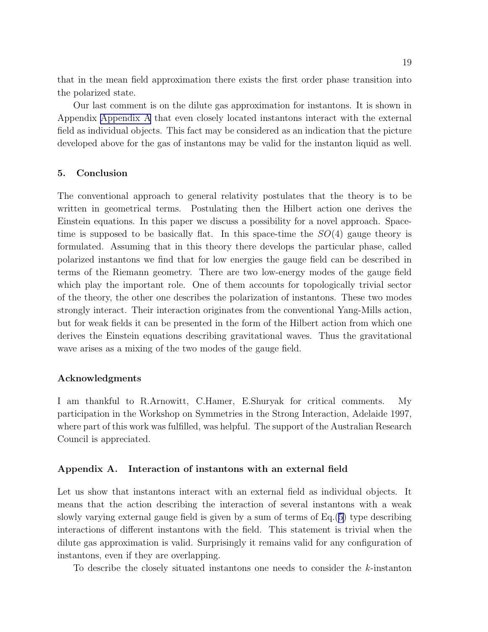<span id="page-18-0"></span>that in the mean field approximation there exists the first order phase transition into the polarized state.

Our last comment is on the dilute gas approximation for instantons. It is shown in Appendix Appendix A that even closely located instantons interact with the external field as individual objects. This fact may be considered as an indication that the picture developed above for the gas of instantons may be valid for the instanton liquid as well.

## 5. Conclusion

The conventional approach to general relativity postulates that the theory is to be written in geometrical terms. Postulating then the Hilbert action one derives the Einstein equations. In this paper we discuss a possibility for a novel approach. Spacetime is supposed to be basically flat. In this space-time the  $SO(4)$  gauge theory is formulated. Assuming that in this theory there develops the particular phase, called polarized instantons we find that for low energies the gauge field can be described in terms of the Riemann geometry. There are two low-energy modes of the gauge field which play the important role. One of them accounts for topologically trivial sector of the theory, the other one describes the polarization of instantons. These two modes strongly interact. Their interaction originates from the conventional Yang-Mills action, but for weak fields it can be presented in the form of the Hilbert action from which one derives the Einstein equations describing gravitational waves. Thus the gravitational wave arises as a mixing of the two modes of the gauge field.

#### Acknowledgments

I am thankful to R.Arnowitt, C.Hamer, E.Shuryak for critical comments. My participation in the Workshop on Symmetries in the Strong Interaction, Adelaide 1997, where part of this work was fulfilled, was helpful. The support of the Australian Research Council is appreciated.

### Appendix A. Interaction of instantons with an external field

Let us show that instantons interact with an external field as individual objects. It means that the action describing the interaction of several instantons with a weak slowly varying external gauge field is given by a sum of terms of Eq.([5\)](#page-4-0) type describing interactions of different instantons with the field. This statement is trivial when the dilute gas approximation is valid. Surprisingly it remains valid for any configuration of instantons, even if they are overlapping.

To describe the closely situated instantons one needs to consider the k-instanton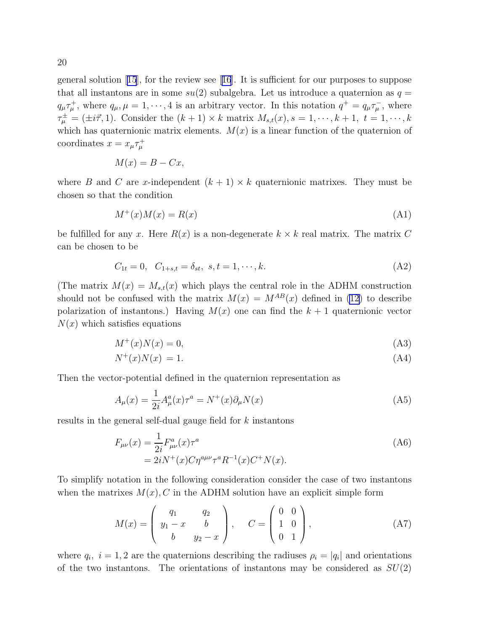<span id="page-19-0"></span>generalsolution  $[15]$  $[15]$  $[15]$ , for the review see  $[16]$  $[16]$  $[16]$ . It is sufficient for our purposes to suppose that all instantons are in some  $su(2)$  subalgebra. Let us introduce a quaternion as  $q =$  $q_{\mu}\tau_{\mu}^{+}$ , where  $q_{\mu}, \mu = 1, \dots, 4$  is an arbitrary vector. In this notation  $q^{+} = q_{\mu}\tau_{\mu}^{-}$ , where  $\tau^{\pm}_{\mu} = (\pm i \vec{\tau}, 1)$ . Consider the  $(k+1) \times k$  matrix  $M_{s,t}(x), s = 1, \dots, k+1, t = 1, \dots, k$ which has quaternionic matrix elements.  $M(x)$  is a linear function of the quaternion of coordinates  $x = x_{\mu} \tau_{\mu}^{+}$ 

$$
M(x) = B - Cx,
$$

where B and C are x-independent  $(k + 1) \times k$  quaternionic matrixes. They must be chosen so that the condition

$$
M^+(x)M(x) = R(x) \tag{A1}
$$

be fulfilled for any x. Here  $R(x)$  is a non-degenerate  $k \times k$  real matrix. The matrix C can be chosen to be

$$
C_{1t} = 0, \quad C_{1+s,t} = \delta_{st}, \quad s, t = 1, \cdots, k. \tag{A2}
$$

(The matrix  $M(x) = M_{s,t}(x)$  which plays the central role in the ADHM construction should not be confused with the matrix  $M(x) = M^{AB}(x)$  defined in [\(12\)](#page-7-0) to describe polarization of instantons.) Having  $M(x)$  one can find the  $k + 1$  quaternionic vector  $N(x)$  which satisfies equations

$$
M^+(x)N(x) = 0,\t\t(A3)
$$

$$
N^+(x)N(x) = 1.\tag{A4}
$$

Then the vector-potential defined in the quaternion representation as

$$
A_{\mu}(x) = \frac{1}{2i} A_{\mu}^{a}(x)\tau^{a} = N^{+}(x)\partial_{\mu}N(x)
$$
\n(A5)

results in the general self-dual gauge field for k instantons

$$
F_{\mu\nu}(x) = \frac{1}{2i} F_{\mu\nu}^a(x) \tau^a
$$
  
=  $2iN^+(x)C\eta^{a\mu\nu} \tau^a R^{-1}(x) C^+ N(x).$  (A6)

To simplify notation in the following consideration consider the case of two instantons when the matrixes  $M(x)$ , C in the ADHM solution have an explicit simple form

$$
M(x) = \begin{pmatrix} q_1 & q_2 \\ y_1 - x & b \\ b & y_2 - x \end{pmatrix}, \quad C = \begin{pmatrix} 0 & 0 \\ 1 & 0 \\ 0 & 1 \end{pmatrix},
$$
 (A7)

where  $q_i$ ,  $i = 1, 2$  are the quaternions describing the radiuses  $\rho_i = |q_i|$  and orientations of the two instantons. The orientations of instantons may be considered as  $SU(2)$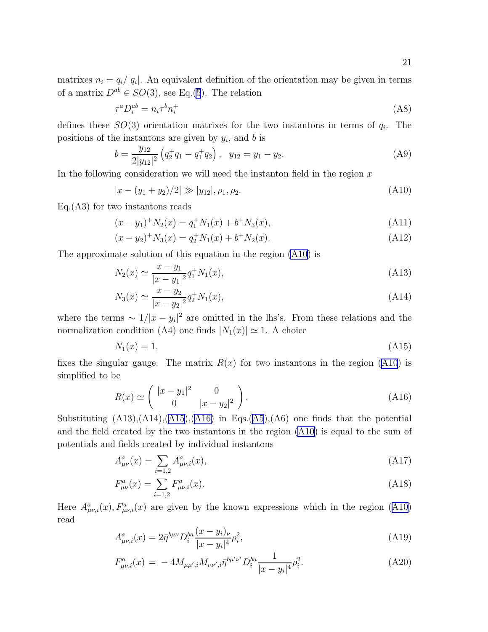<span id="page-20-0"></span>matrixes  $n_i = q_i/|q_i|$ . An equivalent definition of the orientation may be given in terms of a matrix  $D^{ab} \in SO(3)$ , see Eq.[\(5](#page-4-0)). The relation

$$
\tau^a D_i^{ab} = n_i \tau^b n_i^+ \tag{A8}
$$

defines these  $SO(3)$  orientation matrixes for the two instantons in terms of  $q_i$ . The positions of the instantons are given by  $y_i$ , and b is

$$
b = \frac{y_{12}}{2|y_{12}|^2} \left( q_2^+ q_1 - q_1^+ q_2 \right), \quad y_{12} = y_1 - y_2. \tag{A9}
$$

In the following consideration we will need the instanton field in the region  $x$ 

$$
|x - (y_1 + y_2)/2| \gg |y_{12}|, \rho_1, \rho_2. \tag{A10}
$$

Eq.(A3) for two instantons reads

$$
(x - y1)+N2(x) = q1+N1(x) + b+N3(x),
$$
\n(A11)

$$
(x - y2)+N3(x) = q2+N1(x) + b+N2(x).
$$
 (A12)

The approximate solution of this equation in the region (A10) is

$$
N_2(x) \simeq \frac{x - y_1}{|x - y_1|^2} q_1^+ N_1(x), \tag{A13}
$$

$$
N_3(x) \simeq \frac{x - y_2}{|x - y_2|^2} q_2^+ N_1(x),\tag{A14}
$$

where the terms  $\sim 1/|x-y_i|^2$  are omitted in the lhs's. From these relations and the normalization condition (A4) one finds  $|N_1(x)| \simeq 1$ . A choice

$$
N_1(x) = 1,\tag{A15}
$$

fixes the singular gauge. The matrix  $R(x)$  for two instantons in the region (A10) is simplified to be

$$
R(x) \simeq \left(\begin{array}{cc} |x - y_1|^2 & 0\\ 0 & |x - y_2|^2 \end{array}\right). \tag{A16}
$$

Substituting  $(A13),(A14),(A15),(A16)$  in Eqs. $(A5),(A6)$  $(A5),(A6)$  $(A5),(A6)$  one finds that the potential and the field created by the two instantons in the region (A10) is equal to the sum of potentials and fields created by individual instantons

$$
A_{\mu\nu}^a(x) = \sum_{i=1,2} A_{\mu\nu,i}^a(x),\tag{A17}
$$

$$
F^{a}_{\mu\nu}(x) = \sum_{i=1,2} F^{a}_{\mu\nu,i}(x). \tag{A18}
$$

Here  $A^a_{\mu\nu,i}(x)$ ,  $F^a_{\mu\nu,i}(x)$  are given by the known expressions which in the region (A10) read

$$
A^{a}_{\mu\nu,i}(x) = 2\bar{\eta}^{b\mu\nu} D^{ba}_{i} \frac{(x - y_{i})_{\nu}}{|x - y_{i}|^{4}} \rho_{i}^{2}, \tag{A19}
$$

$$
F^{a}_{\mu\nu,i}(x) = -4M_{\mu\mu',i}M_{\nu\nu',i}\bar{\eta}^{b\mu'\nu'}D^{ba}_{i}\frac{1}{|x-y_{i}|^{4}}\rho_{i}^{2}.
$$
 (A20)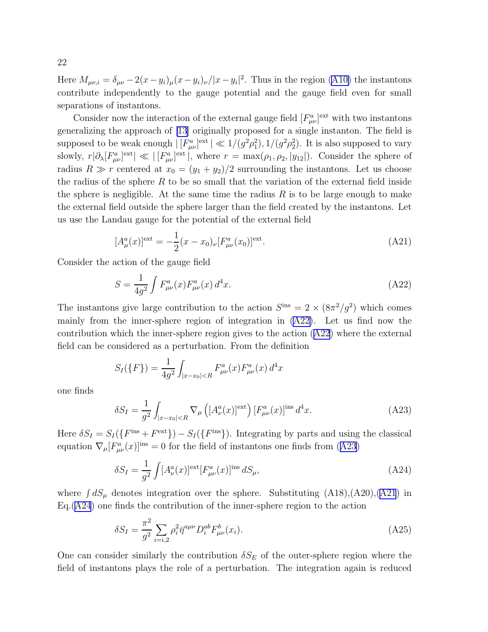<span id="page-21-0"></span>Here  $M_{\mu\nu,i} = \delta_{\mu\nu} - 2(x - y_i)_{\mu}(x - y_i)_{\nu}/|x - y_i|^2$ . Thus in the region [\(A10\)](#page-20-0) the instantons contribute independently to the gauge potential and the gauge field even for small separations of instantons.

Consider now the interaction of the external gauge field  $[F^a_{\mu\nu}]^{\text{ext}}$  with two instantons generalizing the approach of [\[13\]](#page-25-0) originally proposed for a single instanton. The field is supposed to be weak enough  $|\left[F_{\mu\nu}^a\right]^{ext}| \ll 1/(g^2\rho_1^2), 1/(g^2\rho_2^2)$ . It is also supposed to vary slowly,  $r|\partial_{\lambda}[F_{\mu\nu}^{a}]$ <sup>ext</sup> | « | [ $F_{\mu\nu}^{a}]$ <sup>ext</sup> |, where  $r = \max(\rho_1, \rho_2, |y_{12}|)$ . Consider the sphere of radius  $R \gg r$  centered at  $x_0 = (y_1 + y_2)/2$  surrounding the instantons. Let us choose the radius of the sphere  $R$  to be so small that the variation of the external field inside the sphere is negligible. At the same time the radius  $R$  is to be large enough to make the external field outside the sphere larger than the field created by the instantons. Let us use the Landau gauge for the potential of the external field

$$
[A_{\mu}^{a}(x)]^{\text{ext}} = -\frac{1}{2}(x - x_{0})_{\nu} [F_{\mu\nu}^{a}(x_{0})]^{\text{ext}}.
$$
\n(A21)

Consider the action of the gauge field

$$
S = \frac{1}{4g^2} \int F^a_{\mu\nu}(x) F^a_{\mu\nu}(x) d^4 x.
$$
 (A22)

The instantons give large contribution to the action  $S^{ins} = 2 \times (8\pi^2/g^2)$  which comes mainly from the inner-sphere region of integration in (A22). Let us find now the contribution which the inner-sphere region gives to the action (A22) where the external field can be considered as a perturbation. From the definition

$$
S_I(\{F\}) = \frac{1}{4g^2} \int_{|x-x_0| < R} F^a_{\mu\nu}(x) F^a_{\mu\nu}(x) d^4x
$$

one finds

$$
\delta S_I = \frac{1}{g^2} \int_{|x-x_0| < R} \nabla_\mu \left( \left[ A_\nu^a(x) \right]^{\text{ext}} \right) \left[ F_{\mu\nu}^a(x) \right]^{\text{ins}} d^4 x. \tag{A23}
$$

Here  $\delta S_I = S_I(\lbrace F^{\text{ins}} + F^{\text{ext}} \rbrace) - S_I(\lbrace F^{\text{ins}} \rbrace)$ . Integrating by parts and using the classical equation  $\nabla_{\mu} [F^a_{\mu\nu}(x)]^{\text{ins}} = 0$  for the field of instantons one finds from (A23)

$$
\delta S_I = \frac{1}{g^2} \int [A_\nu^a(x)]^{\text{ext}} [F_{\mu\nu}^a(x)]^{\text{ins}} dS_\mu,
$$
\n(A24)

where  $\int dS_\mu$  denotes integration over the sphere. Substituting  $(A18), (A20), (A21)$  in  $Eq. (A24)$  one finds the contribution of the inner-sphere region to the action

$$
\delta S_I = \frac{\pi^2}{g^2} \sum_{i=i,2} \rho_i^2 \overline{\eta}^{a\mu\nu} D_i^{ab} F_{\mu\nu}^b(x_i).
$$
 (A25)

One can consider similarly the contribution  $\delta S_E$  of the outer-sphere region where the field of instantons plays the role of a perturbation. The integration again is reduced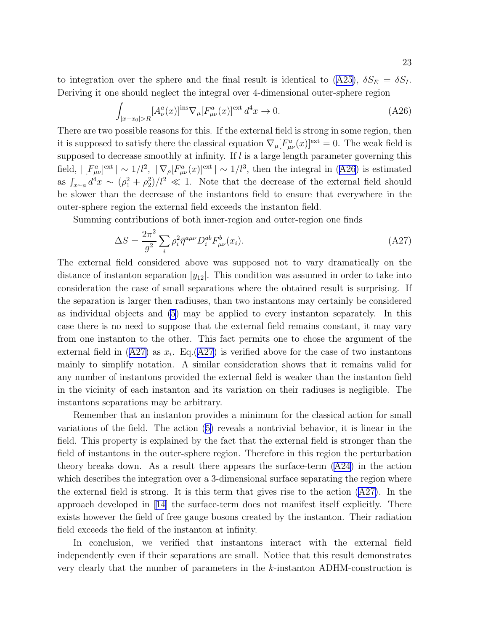to integration over the sphere and the final result is identical to  $(A25)$ ,  $\delta S_E = \delta S_I$ . Deriving it one should neglect the integral over 4-dimensional outer-sphere region

$$
\int_{|x-x_0|>R} [A^a_\nu(x)]^{\text{ins}} \nabla_\mu [F^a_{\mu\nu}(x)]^{\text{ext}} d^4x \to 0. \tag{A26}
$$

There are two possible reasons for this. If the external field is strong in some region, then it is supposed to satisfy there the classical equation  $\nabla_{\mu} [F^{a}_{\mu\nu}(x)]^{\text{ext}} = 0$ . The weak field is supposed to decrease smoothly at infinity. If  $l$  is a large length parameter governing this field,  $|[F^a_{\mu\nu}]^{\text{ext}}| \sim 1/l^2$ ,  $|\nabla_\rho[F^a_{\mu\nu}(x)]^{\text{ext}}| \sim 1/l^3$ , then the integral in (A26) is estimated as  $\int_{x\sim a} d^4x \sim (\rho_1^2 + \rho_2^2)/l^2 \ll 1$ . Note that the decrease of the external field should be slower than the decrease of the instantons field to ensure that everywhere in the outer-sphere region the external field exceeds the instanton field.

Summing contributions of both inner-region and outer-region one finds

$$
\Delta S = \frac{2\pi^2}{g^2} \sum_{i} \rho_i^2 \bar{\eta}^{a\mu\nu} D_i^{ab} F_{\mu\nu}^b(x_i).
$$
 (A27)

The external field considered above was supposed not to vary dramatically on the distance of instanton separation  $|y_{12}|$ . This condition was assumed in order to take into consideration the case of small separations where the obtained result is surprising. If the separation is larger then radiuses, than two instantons may certainly be considered as individual objects and [\(5](#page-4-0)) may be applied to every instanton separately. In this case there is no need to suppose that the external field remains constant, it may vary from one instanton to the other. This fact permits one to chose the argument of the external field in (A27) as  $x_i$ . Eq.(A27) is verified above for the case of two instantons mainly to simplify notation. A similar consideration shows that it remains valid for any number of instantons provided the external field is weaker than the instanton field in the vicinity of each instanton and its variation on their radiuses is negligible. The instantons separations may be arbitrary.

Remember that an instanton provides a minimum for the classical action for small variations of the field. The action([5\)](#page-4-0) reveals a nontrivial behavior, it is linear in the field. This property is explained by the fact that the external field is stronger than the field of instantons in the outer-sphere region. Therefore in this region the perturbation theory breaks down. As a result there appears the surface-term  $(A24)$  in the action which describes the integration over a 3-dimensional surface separating the region where the external field is strong. It is this term that gives rise to the action  $(A27)$ . In the approach developed in[[14\]](#page-25-0) the surface-term does not manifest itself explicitly. There exists however the field of free gauge bosons created by the instanton. Their radiation field exceeds the field of the instanton at infinity.

In conclusion, we verified that instantons interact with the external field independently even if their separations are small. Notice that this result demonstrates very clearly that the number of parameters in the k-instanton ADHM-construction is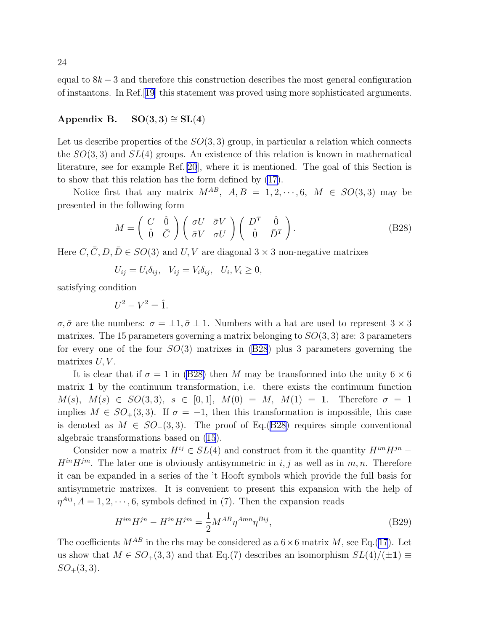<span id="page-23-0"></span>equal to  $8k-3$  and therefore this construction describes the most general configuration of instantons. In Ref.[\[19\]](#page-25-0) this statement was proved using more sophisticated arguments.

# Appendix B.  $SO(3,3) \cong SL(4)$

Let us describe properties of the  $SO(3,3)$  group, in particular a relation which connects the  $SO(3,3)$  and  $SL(4)$  groups. An existence of this relation is known in mathematical literature, see for example Ref.[\[20](#page-25-0)], where it is mentioned. The goal of this Section is to show that this relation has the form defined by [\(17](#page-9-0)).

Notice first that any matrix  $M^{AB}$ ,  $A, B = 1, 2, \dots, 6, M \in SO(3,3)$  may be presented in the following form

$$
M = \begin{pmatrix} C & \hat{0} \\ \hat{0} & \bar{C} \end{pmatrix} \begin{pmatrix} \sigma U & \bar{\sigma} V \\ \bar{\sigma} V & \sigma U \end{pmatrix} \begin{pmatrix} D^T & \hat{0} \\ \hat{0} & \bar{D}^T \end{pmatrix}.
$$
 (B28)

Here C,  $\overline{C}$ , D,  $\overline{D} \in SO(3)$  and U, V are diagonal  $3 \times 3$  non-negative matrixes

 $U_{ij} = U_i \delta_{ij}, \quad V_{ij} = V_i \delta_{ij}, \quad U_i, V_i \geq 0,$ 

satisfying condition

$$
U^2 - V^2 = \hat{1}.
$$

 $\sigma, \bar{\sigma}$  are the numbers:  $\sigma = \pm 1, \bar{\sigma} \pm 1$ . Numbers with a hat are used to represent  $3 \times 3$ matrixes. The 15 parameters governing a matrix belonging to  $SO(3,3)$  are: 3 parameters for every one of the four  $SO(3)$  matrixes in  $(B28)$  plus 3 parameters governing the matrixes  $U, V$ .

It is clear that if  $\sigma = 1$  in (B28) then M may be transformed into the unity  $6 \times 6$ matrix 1 by the continuum transformation, i.e. there exists the continuum function  $M(s), M(s) \in SO(3,3), s \in [0,1], M(0) = M, M(1) = 1.$  Therefore  $\sigma = 1$ implies  $M \in SO_+(3,3)$ . If  $\sigma = -1$ , then this transformation is impossible, this case is denoted as  $M \in SO(3,3)$ . The proof of Eq.(B28) requires simple conventional algebraic transformations based on [\(15\)](#page-8-0).

Consider now a matrix  $H^{ij} \in SL(4)$  and construct from it the quantity  $H^{im}H^{jn}$  –  $H^{in}H^{jm}$ . The later one is obviously antisymmetric in i, j as well as in m, n. Therefore it can be expanded in a series of the 't Hooft symbols which provide the full basis for antisymmetric matrixes. It is convenient to present this expansion with the help of  $\eta^{Aij}$ ,  $A = 1, 2, \dots, 6$ , symbols defined in (7). Then the expansion reads

$$
H^{im}H^{jn} - H^{in}H^{jm} = \frac{1}{2}M^{AB}\eta^{Amn}\eta^{Bij},\tag{B29}
$$

The coefficients  $M^{AB}$  in the rhs may be considered as a  $6\times 6$  matrix M, see Eq.[\(17\)](#page-9-0). Let us show that  $M \in SO_+(3,3)$  and that Eq.(7) describes an isomorphism  $SL(4)/(\pm 1) \equiv$  $SO_+(3,3)$ .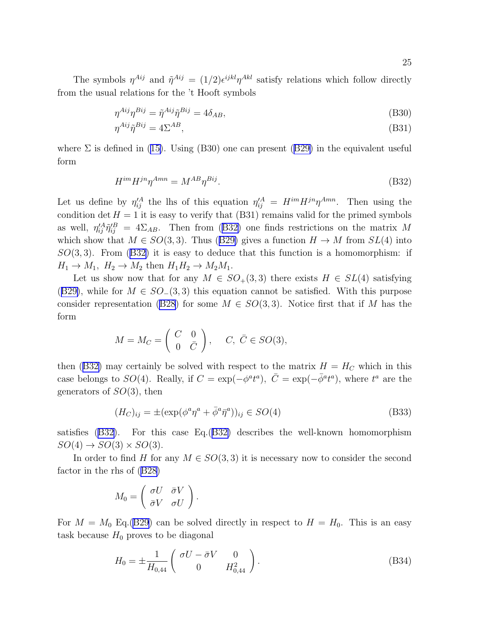<span id="page-24-0"></span>The symbols  $\eta^{Aij}$  and  $\tilde{\eta}^{Aij} = (1/2) \epsilon^{ijkl} \eta^{Akl}$  satisfy relations which follow directly from the usual relations for the 't Hooft symbols

$$
\eta^{Aij}\eta^{Bij} = \tilde{\eta}^{Aij}\tilde{\eta}^{Bij} = 4\delta_{AB},\tag{B30}
$$

$$
\eta^{Aij}\tilde{\eta}^{Bij} = 4\Sigma^{AB},\tag{B31}
$$

where $\Sigma$  is defined in ([15\)](#page-8-0). Using (B30) one can present ([B29\)](#page-23-0) in the equivalent useful form

$$
H^{im}H^{jn}\eta^{Amn} = M^{AB}\eta^{Bij}.\tag{B32}
$$

Let us define by  $\eta_{ij}^{\prime A}$  the lhs of this equation  $\eta_{ij}^{\prime A} = H^{im}H^{jn}\eta^{Amn}$ . Then using the condition det  $H = 1$  it is easy to verify that (B31) remains valid for the primed symbols as well,  $\eta_{ij}^{\prime A} \tilde{\eta}_{ij}^{\prime B} = 4\Sigma_{AB}$ . Then from (B32) one finds restrictions on the matrix M whichshow that  $M \in SO(3,3)$ . Thus ([B29\)](#page-23-0) gives a function  $H \to M$  from  $SL(4)$  into  $SO(3,3)$ . From  $(B32)$  it is easy to deduce that this function is a homomorphism: if  $H_1 \rightarrow M_1$ ,  $H_2 \rightarrow M_2$  then  $H_1 H_2 \rightarrow M_2 M_1$ .

Let us show now that for any  $M \in SO_+(3,3)$  there exists  $H \in SL(4)$  satisfying ([B29\)](#page-23-0), while for  $M \in SO(3,3)$  this equation cannot be satisfied. With this purpose consider representation [\(B28](#page-23-0)) for some  $M \in SO(3,3)$ . Notice first that if M has the form

$$
M = M_C = \begin{pmatrix} C & 0 \\ 0 & \bar{C} \end{pmatrix}, \quad C, \ \bar{C} \in SO(3),
$$

then (B32) may certainly be solved with respect to the matrix  $H = H_C$  which in this case belongs to SO(4). Really, if  $C = \exp(-\phi^a t^a)$ ,  $\overline{C} = \exp(-\overline{\phi}^a t^a)$ , where  $t^a$  are the generators of  $SO(3)$ , then

$$
(H_C)_{ij} = \pm (\exp(\phi^a \eta^a + \bar{\phi}^a \bar{\eta}^a))_{ij} \in SO(4)
$$
\n(B33)

satisfies (B32). For this case Eq.(B32) describes the well-known homomorphism  $SO(4) \rightarrow SO(3) \times SO(3)$ .

In order to find H for any  $M \in SO(3,3)$  it is necessary now to consider the second factor in the rhs of([B28\)](#page-23-0)

$$
M_0 = \left(\begin{array}{cc} \sigma U & \bar{\sigma} V \\ \bar{\sigma} V & \sigma U \end{array}\right).
$$

For  $M = M_0$  Eq.([B29\)](#page-23-0) can be solved directly in respect to  $H = H_0$ . This is an easy task because  $H_0$  proves to be diagonal

$$
H_0 = \pm \frac{1}{H_{0,44}} \begin{pmatrix} \sigma U - \bar{\sigma} V & 0 \\ 0 & H_{0,44}^2 \end{pmatrix} . \tag{B34}
$$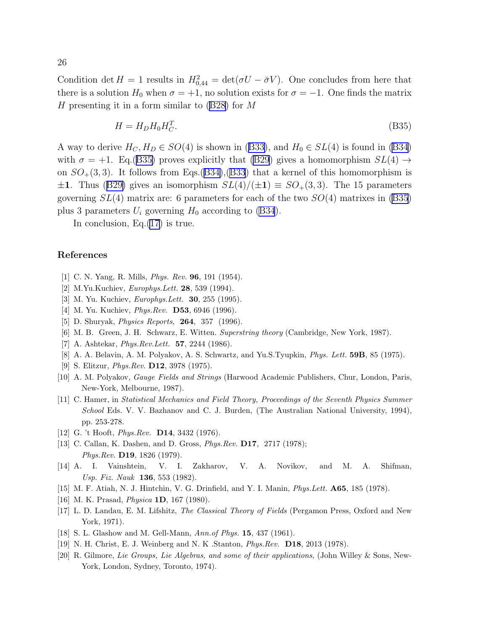<span id="page-25-0"></span>Condition det  $H = 1$  results in  $H_{0,44}^2 = det(\sigma U - \bar{\sigma} V)$ . One concludes from here that there is a solution  $H_0$  when  $\sigma = +1$ , no solution exists for  $\sigma = -1$ . One finds the matrix Hpresenting it in a form similar to  $(B28)$  $(B28)$  for M

$$
H = H_D H_0 H_C^T. \tag{B35}
$$

Away to derive  $H_C, H_D \in SO(4)$  is shown in ([B33\)](#page-24-0), and  $H_0 \in SL(4)$  is found in [\(B34](#page-24-0)) with  $\sigma = +1$ . Eq.(B35) proves explicitly that [\(B29](#page-23-0)) gives a homomorphism  $SL(4) \rightarrow$ on  $SO_+(3,3)$ . It follows from Eqs.([B34\)](#page-24-0),[\(B33](#page-24-0)) that a kernel of this homomorphism is  $\pm 1$  $\pm 1$  $\pm 1$ . Thus ([B29\)](#page-23-0) gives an isomorphism  $SL(4)/(\pm 1) \equiv SO_{+}(3,3)$ . The 15 parameters governing  $SL(4)$  matrix are: 6 parameters for each of the two  $SO(4)$  matrixes in (B35) plus 3 parameters  $U_i$  governing  $H_0$  according to [\(B34](#page-24-0)).

In conclusion, Eq. $(17)$  $(17)$  is true.

## References

- [1] C. N. Yang, R. Mills, Phys. Rev. 96, 191 (1954).
- [2] M.Yu.Kuchiev, *Europhys.Lett.* **28**, 539 (1994).
- [3] M. Yu. Kuchiev, *Europhys. Lett.* **30**, 255 (1995).
- [4] M. Yu. Kuchiev, *Phys.Rev.* **D53**, 6946 (1996).
- [5] D. Shuryak, *Physics Reports*, **264**, 357 (1996).
- [6] M. B. Green, J. H. Schwarz, E. Witten. Superstring theory (Cambridge, New York, 1987).
- [7] A. Ashtekar, *Phys.Rev.Lett.* **57**, 2244 (1986).
- [8] A. A. Belavin, A. M. Polyakov, A. S. Schwartz, and Yu.S.Tyupkin, Phys. Lett. 59B, 85 (1975).
- [9] S. Elitzur, Phys.Rev. D12, 3978 (1975).
- [10] A. M. Polyakov, Gauge Fields and Strings (Harwood Academic Publishers, Chur, London, Paris, New-York, Melbourne, 1987).
- [11] C. Hamer, in Statistical Mechanics and Field Theory, Proceedings of the Seventh Physics Summer School Eds. V. V. Bazhanov and C. J. Burden, (The Australian National University, 1994), pp. 253-278.
- [12] G. 't Hooft, *Phys.Rev.* **D14**, 3432 (1976).
- [13] C. Callan, K. Dashen, and D. Gross, *Phys.Rev.* **D17**, 2717 (1978); Phys.Rev. D19, 1826 (1979).
- [14] A. I. Vainshtein, V. I. Zakharov, V. A. Novikov, and M. A. Shifman, Usp. Fiz. Nauk 136, 553 (1982).
- [15] M. F. Atiah, N. J. Hintchin, V. G. Drinfield, and Y. I. Manin, Phys.Lett. A65, 185 (1978).
- [16] M. K. Prasad, *Physica* **1D**, 167 (1980).
- [17] L. D. Landau, E. M. Lifshitz, The Classical Theory of Fields (Pergamon Press, Oxford and New York, 1971).
- [18] S. L. Glashow and M. Gell-Mann, Ann.of Phys. 15, 437 (1961).
- [19] N. H. Christ, E. J. Weinberg and N. K .Stanton, Phys.Rev. D18, 2013 (1978).
- [20] R. Gilmore, Lie Groups, Lie Algebras, and some of their applications, (John Willey & Sons, New-York, London, Sydney, Toronto, 1974).